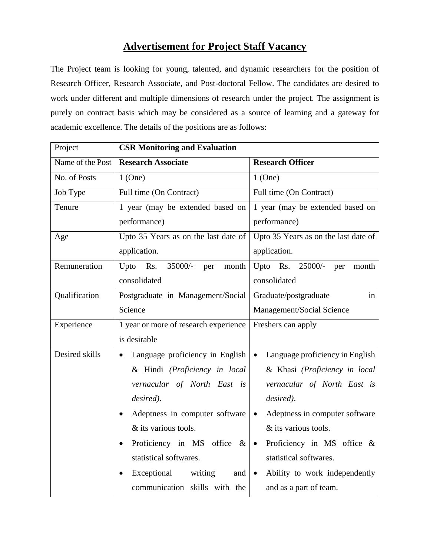## **Advertisement for Project Staff Vacancy**

The Project team is looking for young, talented, and dynamic researchers for the position of Research Officer, Research Associate, and Post-doctoral Fellow. The candidates are desired to work under different and multiple dimensions of research under the project. The assignment is purely on contract basis which may be considered as a source of learning and a gateway for academic excellence. The details of the positions are as follows:

| Project          | <b>CSR Monitoring and Evaluation</b>         |                                              |  |
|------------------|----------------------------------------------|----------------------------------------------|--|
| Name of the Post | <b>Research Associate</b>                    | <b>Research Officer</b>                      |  |
| No. of Posts     | $1$ (One)                                    | $1$ (One)                                    |  |
| Job Type         | Full time (On Contract)                      | Full time (On Contract)                      |  |
| Tenure           | 1 year (may be extended based on             | 1 year (may be extended based on             |  |
|                  | performance)                                 | performance)                                 |  |
| Age              | Upto 35 Years as on the last date of         | Upto 35 Years as on the last date of         |  |
|                  | application.                                 | application.                                 |  |
| Remuneration     | Upto<br>Rs.<br>35000/-<br>month<br>per       | Upto Rs. 25000/-<br>month<br>per             |  |
|                  | consolidated                                 | consolidated                                 |  |
| Qualification    | Postgraduate in Management/Social            | in<br>Graduate/postgraduate                  |  |
|                  | Science                                      | Management/Social Science                    |  |
| Experience       | 1 year or more of research experience        | Freshers can apply                           |  |
|                  | is desirable                                 |                                              |  |
| Desired skills   | Language proficiency in English<br>$\bullet$ | Language proficiency in English<br>$\bullet$ |  |
|                  | & Hindi (Proficiency in local                | & Khasi (Proficiency in local                |  |
|                  | vernacular of North East is                  | vernacular of North East is                  |  |
|                  | desired).                                    | desired).                                    |  |
|                  | Adeptness in computer software<br>$\bullet$  | Adeptness in computer software<br>$\bullet$  |  |
|                  | & its various tools.                         | & its various tools.                         |  |
|                  | Proficiency in MS office $\&$<br>$\bullet$   | Proficiency in MS office $\&$<br>$\bullet$   |  |
|                  | statistical softwares.                       | statistical softwares.                       |  |
|                  | Exceptional writing<br>and<br>$\bullet$      | Ability to work independently<br>$\bullet$   |  |
|                  | communication skills with the                | and as a part of team.                       |  |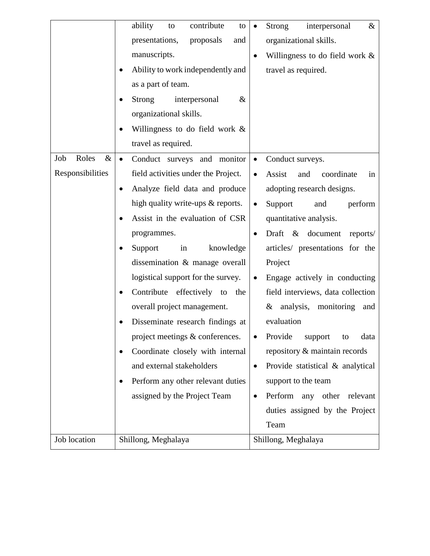|                      | ability<br>contribute<br>to<br>to             | $\bullet$ | interpersonal<br>$\&$<br><b>Strong</b> |
|----------------------|-----------------------------------------------|-----------|----------------------------------------|
|                      | presentations,<br>proposals<br>and            |           | organizational skills.                 |
|                      | manuscripts.                                  | $\bullet$ | Willingness to do field work $\&$      |
|                      | Ability to work independently and             |           | travel as required.                    |
|                      | as a part of team.                            |           |                                        |
|                      | <b>Strong</b><br>interpersonal<br>$\&$        |           |                                        |
|                      | organizational skills.                        |           |                                        |
|                      | Willingness to do field work &                |           |                                        |
|                      | travel as required.                           |           |                                        |
| Job<br>Roles<br>$\&$ | Conduct surveys and monitor<br>$\bullet$      | $\bullet$ | Conduct surveys.                       |
| Responsibilities     | field activities under the Project.           | $\bullet$ | coordinate<br>Assist<br>and<br>in      |
|                      | Analyze field data and produce<br>٠           |           | adopting research designs.             |
|                      | high quality write-ups & reports.             | $\bullet$ | Support<br>and<br>perform              |
|                      | Assist in the evaluation of CSR               |           | quantitative analysis.                 |
|                      | programmes.                                   | $\bullet$ | Draft & document<br>reports/           |
|                      | knowledge<br>Support<br>in<br>٠               |           | articles/ presentations for the        |
|                      | dissemination & manage overall                |           | Project                                |
|                      | logistical support for the survey.            | $\bullet$ | Engage actively in conducting          |
|                      | Contribute effectively to the<br>٠            |           | field interviews, data collection      |
|                      | overall project management.                   |           | analysis,<br>monitoring<br>&<br>and    |
|                      | Disseminate research findings at<br>٠         |           | evaluation                             |
|                      | project meetings & conferences.               |           | Provide<br>support<br>to<br>data       |
|                      | Coordinate closely with internal<br>$\bullet$ |           | repository & maintain records          |
|                      | and external stakeholders                     | $\bullet$ | Provide statistical & analytical       |
|                      | Perform any other relevant duties             |           | support to the team                    |
|                      | assigned by the Project Team                  | $\bullet$ | Perform<br>any<br>other<br>relevant    |
|                      |                                               |           | duties assigned by the Project         |
|                      |                                               |           | Team                                   |
| Job location         | Shillong, Meghalaya                           |           | Shillong, Meghalaya                    |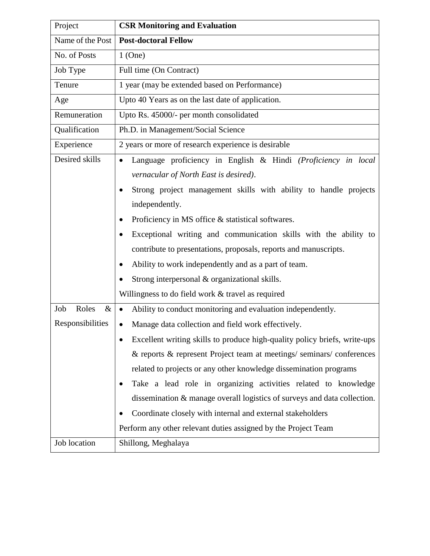| Project              | <b>CSR Monitoring and Evaluation</b>                                      |  |  |
|----------------------|---------------------------------------------------------------------------|--|--|
| Name of the Post     | <b>Post-doctoral Fellow</b>                                               |  |  |
| No. of Posts         | $1$ (One)                                                                 |  |  |
| Job Type             | Full time (On Contract)                                                   |  |  |
| Tenure               | 1 year (may be extended based on Performance)                             |  |  |
| Age                  | Upto 40 Years as on the last date of application.                         |  |  |
| Remuneration         | Upto Rs. 45000/- per month consolidated                                   |  |  |
| Qualification        | Ph.D. in Management/Social Science                                        |  |  |
| Experience           | 2 years or more of research experience is desirable                       |  |  |
| Desired skills       | Language proficiency in English & Hindi (Proficiency in local             |  |  |
|                      | vernacular of North East is desired).                                     |  |  |
|                      | Strong project management skills with ability to handle projects<br>٠     |  |  |
|                      | independently.                                                            |  |  |
|                      | Proficiency in MS office & statistical softwares.<br>٠                    |  |  |
|                      | Exceptional writing and communication skills with the ability to          |  |  |
|                      | contribute to presentations, proposals, reports and manuscripts.          |  |  |
|                      | Ability to work independently and as a part of team.<br>$\bullet$         |  |  |
|                      | Strong interpersonal & organizational skills.                             |  |  |
|                      | Willingness to do field work & travel as required                         |  |  |
| Job<br>Roles<br>$\&$ | Ability to conduct monitoring and evaluation independently.<br>$\bullet$  |  |  |
| Responsibilities     | Manage data collection and field work effectively.<br>$\bullet$           |  |  |
|                      | Excellent writing skills to produce high-quality policy briefs, write-ups |  |  |
|                      | & reports & represent Project team at meetings/seminars/conferences       |  |  |
|                      | related to projects or any other knowledge dissemination programs         |  |  |
|                      | Take a lead role in organizing activities related to knowledge            |  |  |
|                      | dissemination & manage overall logistics of surveys and data collection.  |  |  |
|                      | Coordinate closely with internal and external stakeholders                |  |  |
|                      | Perform any other relevant duties assigned by the Project Team            |  |  |
| Job location         | Shillong, Meghalaya                                                       |  |  |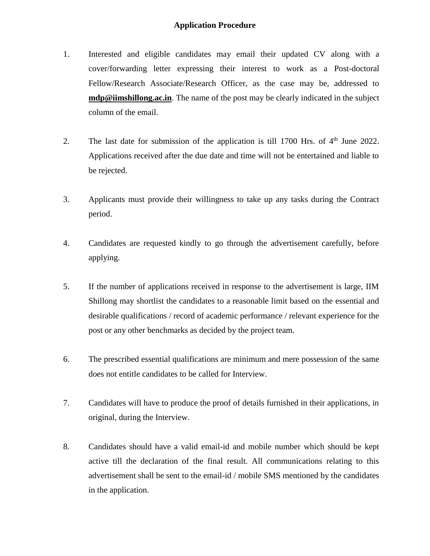## **Application Procedure**

- 1. Interested and eligible candidates may email their updated CV along with a cover/forwarding letter expressing their interest to work as a Post-doctoral Fellow/Research Associate/Research Officer, as the case may be, addressed to **mdp@iimshillong.ac.in**. The name of the post may be clearly indicated in the subject column of the email.
- 2. The last date for submission of the application is till  $1700$  Hrs. of  $4<sup>th</sup>$  June 2022. Applications received after the due date and time will not be entertained and liable to be rejected.
- 3. Applicants must provide their willingness to take up any tasks during the Contract period.
- 4. Candidates are requested kindly to go through the advertisement carefully, before applying.
- 5. If the number of applications received in response to the advertisement is large, IIM Shillong may shortlist the candidates to a reasonable limit based on the essential and desirable qualifications / record of academic performance / relevant experience for the post or any other benchmarks as decided by the project team.
- 6. The prescribed essential qualifications are minimum and mere possession of the same does not entitle candidates to be called for Interview.
- 7. Candidates will have to produce the proof of details furnished in their applications, in original, during the Interview.
- 8. Candidates should have a valid email-id and mobile number which should be kept active till the declaration of the final result. All communications relating to this advertisement shall be sent to the email-id / mobile SMS mentioned by the candidates in the application.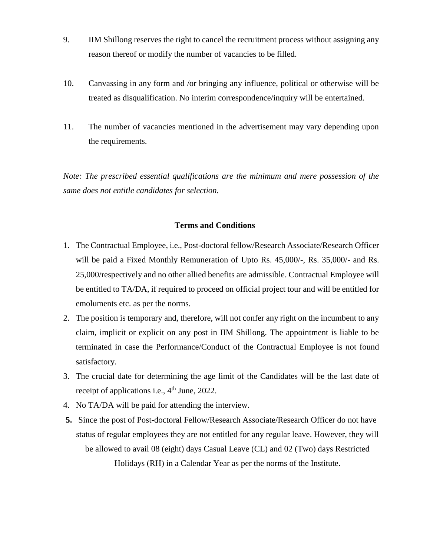- 9. IIM Shillong reserves the right to cancel the recruitment process without assigning any reason thereof or modify the number of vacancies to be filled.
- 10. Canvassing in any form and /or bringing any influence, political or otherwise will be treated as disqualification. No interim correspondence/inquiry will be entertained.
- 11. The number of vacancies mentioned in the advertisement may vary depending upon the requirements.

*Note: The prescribed essential qualifications are the minimum and mere possession of the same does not entitle candidates for selection.* 

## **Terms and Conditions**

- 1. The Contractual Employee, i.e., Post-doctoral fellow/Research Associate/Research Officer will be paid a Fixed Monthly Remuneration of Upto Rs. 45,000/-, Rs. 35,000/- and Rs. 25,000/respectively and no other allied benefits are admissible. Contractual Employee will be entitled to TA/DA, if required to proceed on official project tour and will be entitled for emoluments etc. as per the norms.
- 2. The position is temporary and, therefore, will not confer any right on the incumbent to any claim, implicit or explicit on any post in IIM Shillong. The appointment is liable to be terminated in case the Performance/Conduct of the Contractual Employee is not found satisfactory.
- 3. The crucial date for determining the age limit of the Candidates will be the last date of receipt of applications i.e.,  $4<sup>th</sup>$  June, 2022.
- 4. No TA/DA will be paid for attending the interview.
- **5.** Since the post of Post-doctoral Fellow/Research Associate/Research Officer do not have status of regular employees they are not entitled for any regular leave. However, they will be allowed to avail 08 (eight) days Casual Leave (CL) and 02 (Two) days Restricted Holidays (RH) in a Calendar Year as per the norms of the Institute.